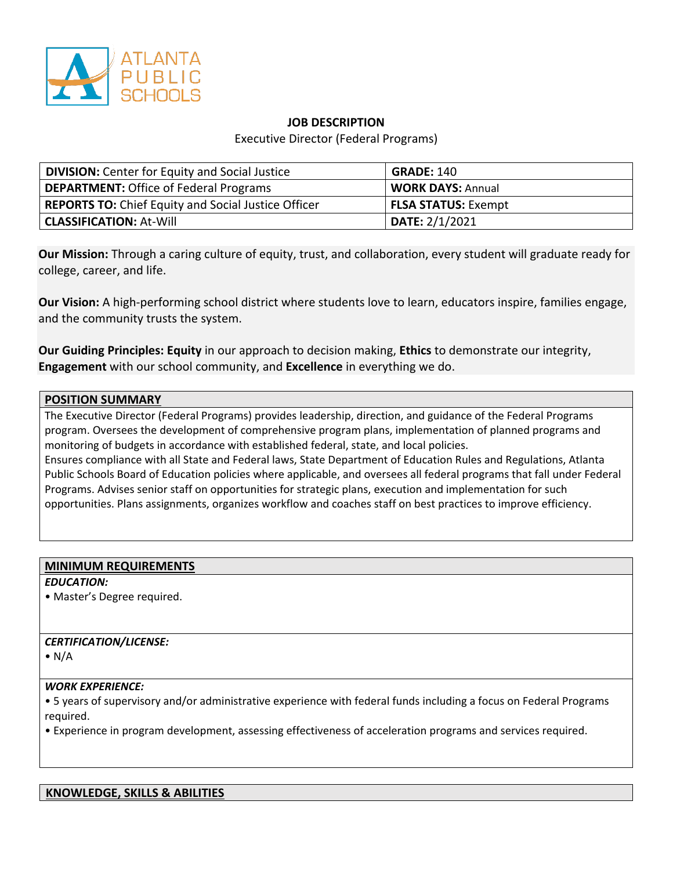

## **JOB DESCRIPTION**

Executive Director (Federal Programs)

| <b>DIVISION:</b> Center for Equity and Social Justice      | <b>GRADE: 140</b>          |
|------------------------------------------------------------|----------------------------|
| <b>DEPARTMENT:</b> Office of Federal Programs              | <b>WORK DAYS: Annual</b>   |
| <b>REPORTS TO:</b> Chief Equity and Social Justice Officer | <b>FLSA STATUS:</b> Exempt |
| <b>CLASSIFICATION:</b> At-Will                             | DATE: 2/1/2021             |

**Our Mission:** Through a caring culture of equity, trust, and collaboration, every student will graduate ready for college, career, and life.

**Our Vision:** A high-performing school district where students love to learn, educators inspire, families engage, and the community trusts the system.

**Our Guiding Principles: Equity** in our approach to decision making, **Ethics** to demonstrate our integrity, **Engagement** with our school community, and **Excellence** in everything we do.

#### **POSITION SUMMARY**

The Executive Director (Federal Programs) provides leadership, direction, and guidance of the Federal Programs program. Oversees the development of comprehensive program plans, implementation of planned programs and monitoring of budgets in accordance with established federal, state, and local policies.

Ensures compliance with all State and Federal laws, State Department of Education Rules and Regulations, Atlanta Public Schools Board of Education policies where applicable, and oversees all federal programs that fall under Federal Programs. Advises senior staff on opportunities for strategic plans, execution and implementation for such opportunities. Plans assignments, organizes workflow and coaches staff on best practices to improve efficiency.

#### **MINIMUM REQUIREMENTS**

*EDUCATION:*

• Master's Degree required.

## *CERTIFICATION/LICENSE:*

 $\bullet$  N/A

#### *WORK EXPERIENCE:*

• 5 years of supervisory and/or administrative experience with federal funds including a focus on Federal Programs required.

• Experience in program development, assessing effectiveness of acceleration programs and services required.

#### **KNOWLEDGE, SKILLS & ABILITIES**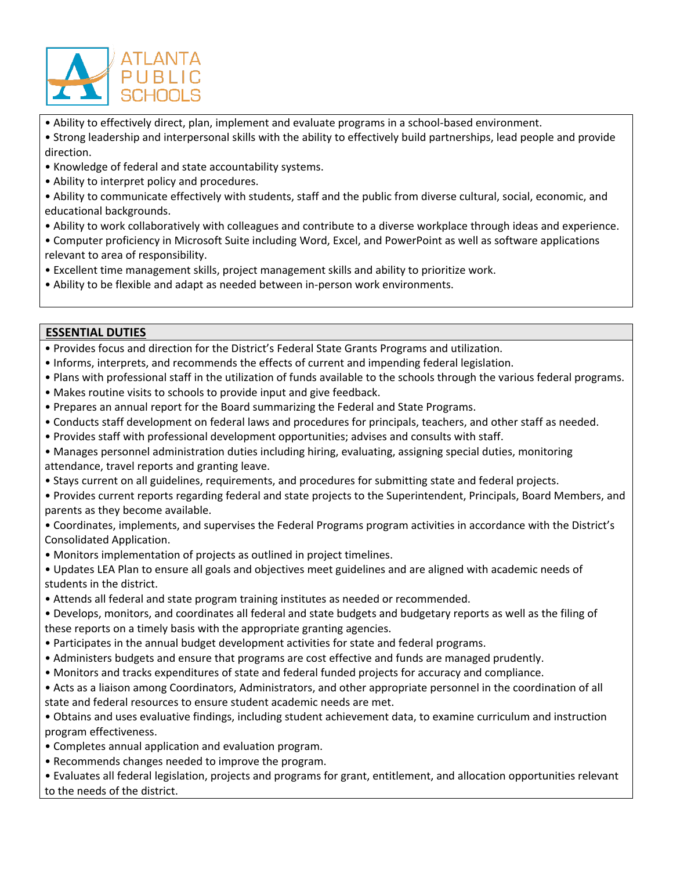

• Ability to effectively direct, plan, implement and evaluate programs in a school-based environment.

- Strong leadership and interpersonal skills with the ability to effectively build partnerships, lead people and provide direction.
- Knowledge of federal and state accountability systems.
- Ability to interpret policy and procedures.
- Ability to communicate effectively with students, staff and the public from diverse cultural, social, economic, and educational backgrounds.
- Ability to work collaboratively with colleagues and contribute to a diverse workplace through ideas and experience.
- Computer proficiency in Microsoft Suite including Word, Excel, and PowerPoint as well as software applications relevant to area of responsibility.
- Excellent time management skills, project management skills and ability to prioritize work.
- Ability to be flexible and adapt as needed between in-person work environments.

# **ESSENTIAL DUTIES**

- Provides focus and direction for the District's Federal State Grants Programs and utilization.
- Informs, interprets, and recommends the effects of current and impending federal legislation.
- Plans with professional staff in the utilization of funds available to the schools through the various federal programs.
- Makes routine visits to schools to provide input and give feedback.
- Prepares an annual report for the Board summarizing the Federal and State Programs.
- Conducts staff development on federal laws and procedures for principals, teachers, and other staff as needed.
- Provides staff with professional development opportunities; advises and consults with staff.
- Manages personnel administration duties including hiring, evaluating, assigning special duties, monitoring attendance, travel reports and granting leave.
- Stays current on all guidelines, requirements, and procedures for submitting state and federal projects.
- Provides current reports regarding federal and state projects to the Superintendent, Principals, Board Members, and parents as they become available.
- Coordinates, implements, and supervises the Federal Programs program activities in accordance with the District's Consolidated Application.
- Monitors implementation of projects as outlined in project timelines.
- Updates LEA Plan to ensure all goals and objectives meet guidelines and are aligned with academic needs of students in the district.
- Attends all federal and state program training institutes as needed or recommended.
- Develops, monitors, and coordinates all federal and state budgets and budgetary reports as well as the filing of these reports on a timely basis with the appropriate granting agencies.
- Participates in the annual budget development activities for state and federal programs.
- Administers budgets and ensure that programs are cost effective and funds are managed prudently.
- Monitors and tracks expenditures of state and federal funded projects for accuracy and compliance.
- Acts as a liaison among Coordinators, Administrators, and other appropriate personnel in the coordination of all state and federal resources to ensure student academic needs are met.
- Obtains and uses evaluative findings, including student achievement data, to examine curriculum and instruction program effectiveness.
- Completes annual application and evaluation program.
- Recommends changes needed to improve the program.

• Evaluates all federal legislation, projects and programs for grant, entitlement, and allocation opportunities relevant to the needs of the district.